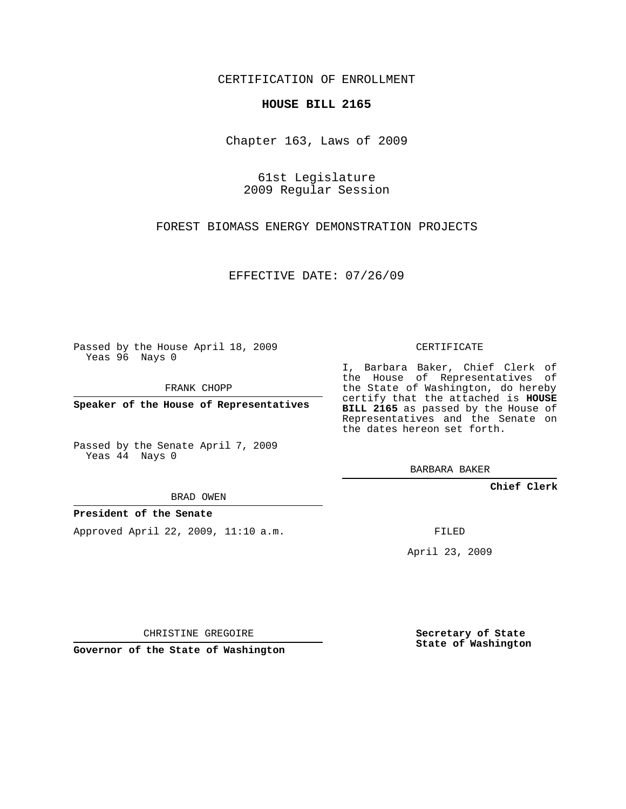CERTIFICATION OF ENROLLMENT

### **HOUSE BILL 2165**

Chapter 163, Laws of 2009

61st Legislature 2009 Regular Session

FOREST BIOMASS ENERGY DEMONSTRATION PROJECTS

EFFECTIVE DATE: 07/26/09

Passed by the House April 18, 2009 Yeas 96 Nays 0

FRANK CHOPP

**Speaker of the House of Representatives**

Passed by the Senate April 7, 2009 Yeas 44 Nays 0

BRAD OWEN

### **President of the Senate**

Approved April 22, 2009, 11:10 a.m.

CERTIFICATE

I, Barbara Baker, Chief Clerk of the House of Representatives of the State of Washington, do hereby certify that the attached is **HOUSE BILL 2165** as passed by the House of Representatives and the Senate on the dates hereon set forth.

BARBARA BAKER

**Chief Clerk**

FILED

April 23, 2009

CHRISTINE GREGOIRE

**Governor of the State of Washington**

**Secretary of State State of Washington**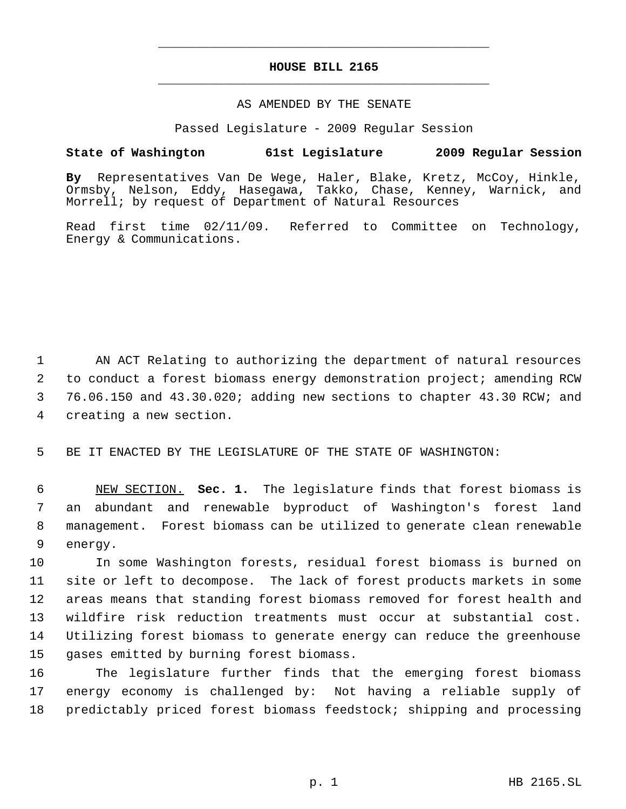# **HOUSE BILL 2165** \_\_\_\_\_\_\_\_\_\_\_\_\_\_\_\_\_\_\_\_\_\_\_\_\_\_\_\_\_\_\_\_\_\_\_\_\_\_\_\_\_\_\_\_\_

\_\_\_\_\_\_\_\_\_\_\_\_\_\_\_\_\_\_\_\_\_\_\_\_\_\_\_\_\_\_\_\_\_\_\_\_\_\_\_\_\_\_\_\_\_

#### AS AMENDED BY THE SENATE

Passed Legislature - 2009 Regular Session

## **State of Washington 61st Legislature 2009 Regular Session**

**By** Representatives Van De Wege, Haler, Blake, Kretz, McCoy, Hinkle, Ormsby, Nelson, Eddy, Hasegawa, Takko, Chase, Kenney, Warnick, and Morrell; by request of Department of Natural Resources

Read first time 02/11/09. Referred to Committee on Technology, Energy & Communications.

 AN ACT Relating to authorizing the department of natural resources to conduct a forest biomass energy demonstration project; amending RCW 76.06.150 and 43.30.020; adding new sections to chapter 43.30 RCW; and creating a new section.

5 BE IT ENACTED BY THE LEGISLATURE OF THE STATE OF WASHINGTON:

 NEW SECTION. **Sec. 1.** The legislature finds that forest biomass is an abundant and renewable byproduct of Washington's forest land management. Forest biomass can be utilized to generate clean renewable 9 energy.

 In some Washington forests, residual forest biomass is burned on site or left to decompose. The lack of forest products markets in some areas means that standing forest biomass removed for forest health and wildfire risk reduction treatments must occur at substantial cost. Utilizing forest biomass to generate energy can reduce the greenhouse gases emitted by burning forest biomass.

16 The legislature further finds that the emerging forest biomass 17 energy economy is challenged by: Not having a reliable supply of 18 predictably priced forest biomass feedstock; shipping and processing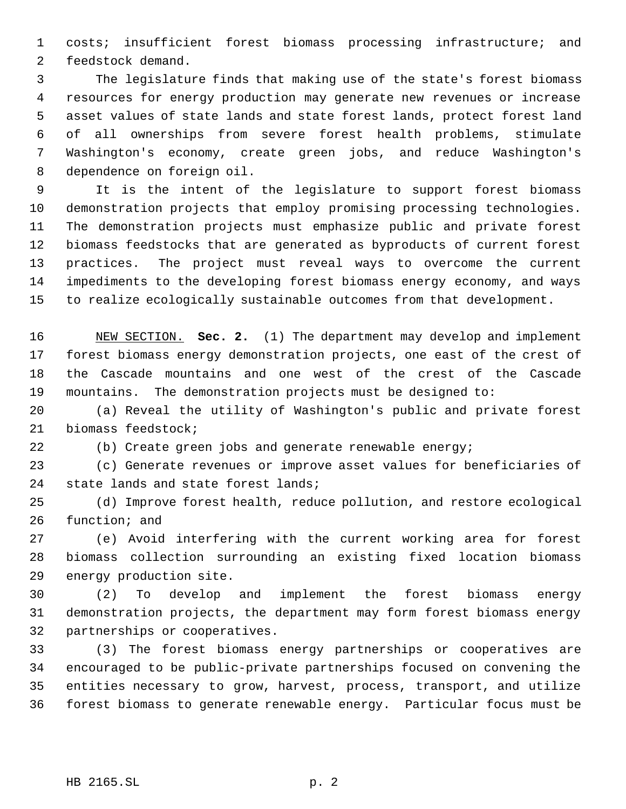costs; insufficient forest biomass processing infrastructure; and feedstock demand.

 The legislature finds that making use of the state's forest biomass resources for energy production may generate new revenues or increase asset values of state lands and state forest lands, protect forest land of all ownerships from severe forest health problems, stimulate Washington's economy, create green jobs, and reduce Washington's dependence on foreign oil.

 It is the intent of the legislature to support forest biomass demonstration projects that employ promising processing technologies. The demonstration projects must emphasize public and private forest biomass feedstocks that are generated as byproducts of current forest practices. The project must reveal ways to overcome the current impediments to the developing forest biomass energy economy, and ways to realize ecologically sustainable outcomes from that development.

 NEW SECTION. **Sec. 2.** (1) The department may develop and implement forest biomass energy demonstration projects, one east of the crest of the Cascade mountains and one west of the crest of the Cascade mountains. The demonstration projects must be designed to:

 (a) Reveal the utility of Washington's public and private forest biomass feedstock;

(b) Create green jobs and generate renewable energy;

 (c) Generate revenues or improve asset values for beneficiaries of state lands and state forest lands;

 (d) Improve forest health, reduce pollution, and restore ecological function; and

 (e) Avoid interfering with the current working area for forest biomass collection surrounding an existing fixed location biomass energy production site.

 (2) To develop and implement the forest biomass energy demonstration projects, the department may form forest biomass energy partnerships or cooperatives.

 (3) The forest biomass energy partnerships or cooperatives are encouraged to be public-private partnerships focused on convening the entities necessary to grow, harvest, process, transport, and utilize forest biomass to generate renewable energy. Particular focus must be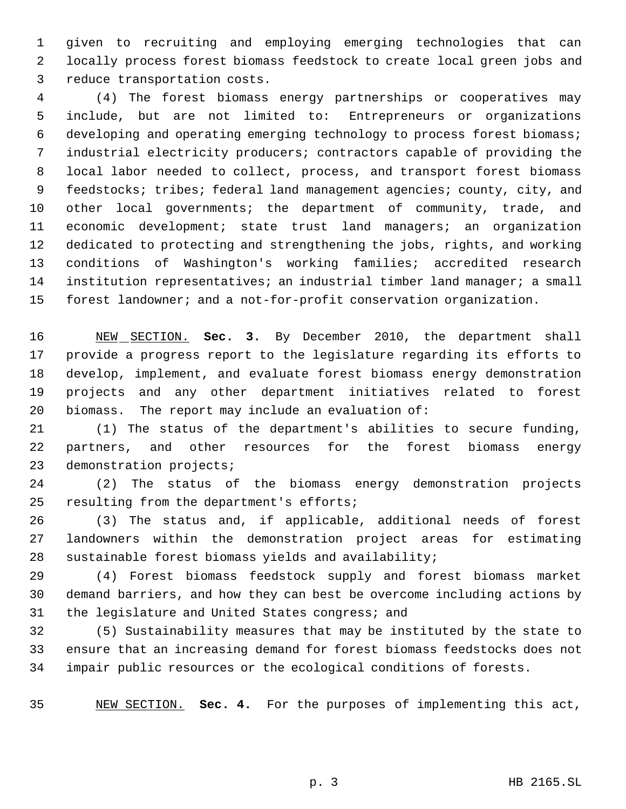given to recruiting and employing emerging technologies that can locally process forest biomass feedstock to create local green jobs and reduce transportation costs.

 (4) The forest biomass energy partnerships or cooperatives may include, but are not limited to: Entrepreneurs or organizations developing and operating emerging technology to process forest biomass; industrial electricity producers; contractors capable of providing the local labor needed to collect, process, and transport forest biomass feedstocks; tribes; federal land management agencies; county, city, and other local governments; the department of community, trade, and economic development; state trust land managers; an organization dedicated to protecting and strengthening the jobs, rights, and working conditions of Washington's working families; accredited research institution representatives; an industrial timber land manager; a small forest landowner; and a not-for-profit conservation organization.

 NEW SECTION. **Sec. 3.** By December 2010, the department shall provide a progress report to the legislature regarding its efforts to develop, implement, and evaluate forest biomass energy demonstration projects and any other department initiatives related to forest biomass. The report may include an evaluation of:

 (1) The status of the department's abilities to secure funding, partners, and other resources for the forest biomass energy demonstration projects;

 (2) The status of the biomass energy demonstration projects resulting from the department's efforts;

 (3) The status and, if applicable, additional needs of forest landowners within the demonstration project areas for estimating sustainable forest biomass yields and availability;

 (4) Forest biomass feedstock supply and forest biomass market demand barriers, and how they can best be overcome including actions by the legislature and United States congress; and

 (5) Sustainability measures that may be instituted by the state to ensure that an increasing demand for forest biomass feedstocks does not impair public resources or the ecological conditions of forests.

NEW SECTION. **Sec. 4.** For the purposes of implementing this act,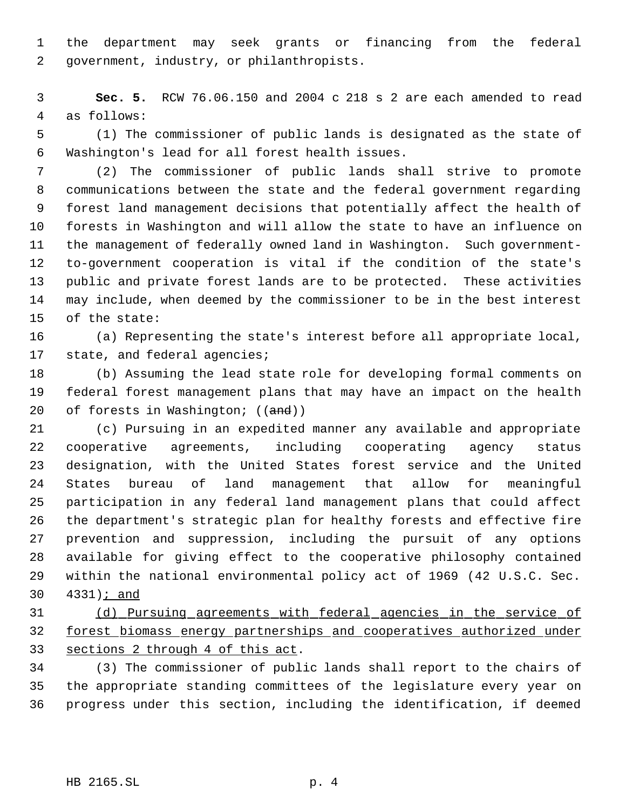the department may seek grants or financing from the federal government, industry, or philanthropists.

 **Sec. 5.** RCW 76.06.150 and 2004 c 218 s 2 are each amended to read as follows:

 (1) The commissioner of public lands is designated as the state of Washington's lead for all forest health issues.

 (2) The commissioner of public lands shall strive to promote communications between the state and the federal government regarding forest land management decisions that potentially affect the health of forests in Washington and will allow the state to have an influence on the management of federally owned land in Washington. Such government- to-government cooperation is vital if the condition of the state's public and private forest lands are to be protected. These activities may include, when deemed by the commissioner to be in the best interest of the state:

 (a) Representing the state's interest before all appropriate local, state, and federal agencies;

 (b) Assuming the lead state role for developing formal comments on federal forest management plans that may have an impact on the health 20 of forests in Washington; ((and))

 (c) Pursuing in an expedited manner any available and appropriate cooperative agreements, including cooperating agency status designation, with the United States forest service and the United States bureau of land management that allow for meaningful participation in any federal land management plans that could affect the department's strategic plan for healthy forests and effective fire prevention and suppression, including the pursuit of any options available for giving effect to the cooperative philosophy contained within the national environmental policy act of 1969 (42 U.S.C. Sec. 4331); and

 (d) Pursuing agreements with federal agencies in the service of forest biomass energy partnerships and cooperatives authorized under sections 2 through 4 of this act.

 (3) The commissioner of public lands shall report to the chairs of the appropriate standing committees of the legislature every year on progress under this section, including the identification, if deemed